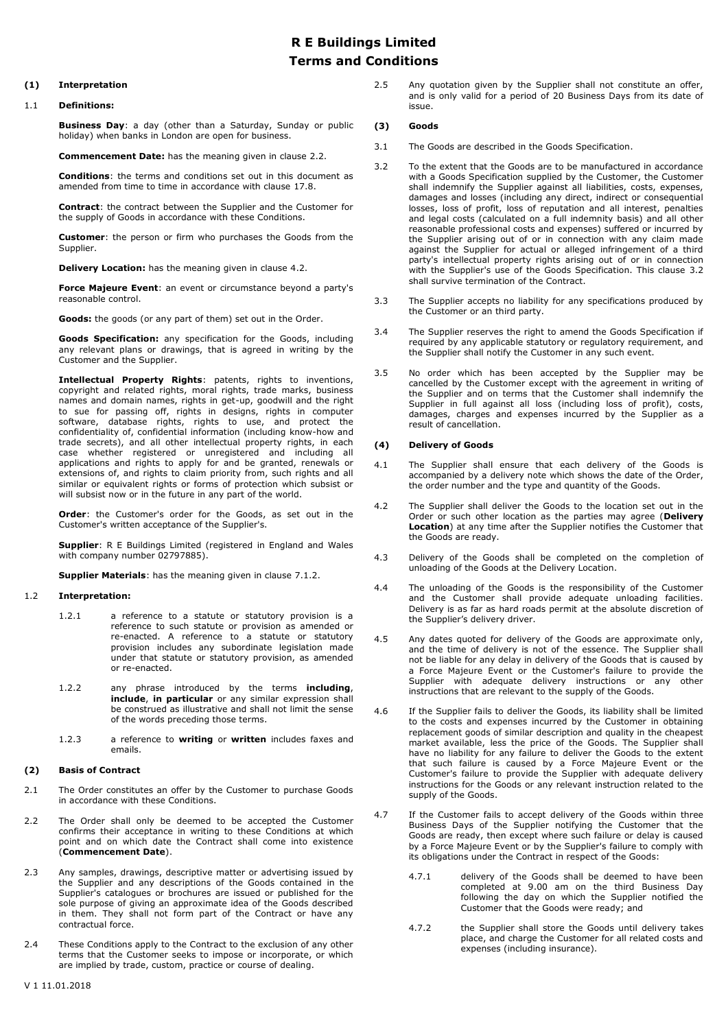# **R E Buildings Limited Terms and Conditions**

# **(1) Interpretation**

### 1.1 **Definitions:**

**Business Day**: a day (other than a Saturday, Sunday or public holiday) when banks in London are open for business.

**Commencement Date:** has the meaning given in clause [2.2.](#page-0-0)

**Conditions**: the terms and conditions set out in this document as amended from time to time in accordance with clause 17.8.

**Contract**: the contract between the Supplier and the Customer for the supply of Goods in accordance with these Conditions.

**Customer**: the person or firm who purchases the Goods from the Supplier.

**Delivery Location:** has the meaning given in clause [4.2.](#page-0-1)

**Force Majeure Event**: an event or circumstance beyond a party's reasonable control.

**Goods:** the goods (or any part of them) set out in the Order.

**Goods Specification:** any specification for the Goods, including any relevant plans or drawings, that is agreed in writing by the Customer and the Supplier.

**Intellectual Property Rights**: patents, rights to inventions, copyright and related rights, moral rights, trade marks, business names and domain names, rights in get-up, goodwill and the right to sue for passing off, rights in designs, rights in computer software, database rights, rights to use, and protect the confidentiality of, confidential information (including know-how and trade secrets), and all other intellectual property rights, in each case whether registered or unregistered and including all applications and rights to apply for and be granted, renewals or extensions of, and rights to claim priority from, such rights and all similar or equivalent rights or forms of protection which subsist or will subsist now or in the future in any part of the world.

**Order**: the Customer's order for the Goods, as set out in the Customer's written acceptance of the Supplier's.

**Supplier**: R E Buildings Limited (registered in England and Wales with company number 02797885).

**Supplier Materials**: has the meaning given in clause [7.1.2.](#page-1-0)

### 1.2 **Interpretation:**

- 1.2.1 a reference to a statute or statutory provision is a reference to such statute or provision as amended or re-enacted. A reference to a statute or statutory provision includes any subordinate legislation made under that statute or statutory provision, as amended or re-enacted.
- 1.2.2 any phrase introduced by the terms **including**, **include**, **in particular** or any similar expression shall be construed as illustrative and shall not limit the sense of the words preceding those terms.
- 1.2.3 a reference to **writing** or **written** includes faxes and emails.

#### **(2) Basis of Contract**

- 2.1 The Order constitutes an offer by the Customer to purchase Goods in accordance with these Conditions.
- <span id="page-0-0"></span>2.2 The Order shall only be deemed to be accepted the Customer confirms their acceptance in writing to these Conditions at which point and on which date the Contract shall come into existence (**Commencement Date**).
- 2.3 Any samples, drawings, descriptive matter or advertising issued by the Supplier and any descriptions of the Goods contained in the Supplier's catalogues or brochures are issued or published for the sole purpose of giving an approximate idea of the Goods described in them. They shall not form part of the Contract or have any contractual force.
- 2.4 These Conditions apply to the Contract to the exclusion of any other terms that the Customer seeks to impose or incorporate, or which are implied by trade, custom, practice or course of dealing.

2.5 Any quotation given by the Supplier shall not constitute an offer, and is only valid for a period of 20 Business Days from its date of issue.

# **(3) Goods**

- 3.1 The Goods are described in the Goods Specification.
- <span id="page-0-2"></span>3.2 To the extent that the Goods are to be manufactured in accordance with a Goods Specification supplied by the Customer, the Customer shall indemnify the Supplier against all liabilities, costs, expenses, damages and losses (including any direct, indirect or consequential losses, loss of profit, loss of reputation and all interest, penalties and legal costs (calculated on a full indemnity basis) and all other reasonable professional costs and expenses) suffered or incurred by the Supplier arising out of or in connection with any claim made against the Supplier for actual or alleged infringement of a third party's intellectual property rights arising out of or in connection with the Supplier's use of the Goods Specification. This clause [3.2](#page-0-2) shall survive termination of the Contract.
- 3.3 The Supplier accepts no liability for any specifications produced by the Customer or an third party.
- 3.4 The Supplier reserves the right to amend the Goods Specification if required by any applicable statutory or regulatory requirement, and the Supplier shall notify the Customer in any such event.
- 3.5 No order which has been accepted by the Supplier may be cancelled by the Customer except with the agreement in writing of the Supplier and on terms that the Customer shall indemnify the Supplier in full against all loss (including loss of profit), costs, damages, charges and expenses incurred by the Supplier as a result of cancellation.

## **(4) Delivery of Goods**

- 4.1 The Supplier shall ensure that each delivery of the Goods is accompanied by a delivery note which shows the date of the Order, the order number and the type and quantity of the Goods.
- <span id="page-0-1"></span>4.2 The Supplier shall deliver the Goods to the location set out in the Order or such other location as the parties may agree (**Delivery Location**) at any time after the Supplier notifies the Customer that the Goods are ready.
- 4.3 Delivery of the Goods shall be completed on the completion of unloading of the Goods at the Delivery Location.
- 4.4 The unloading of the Goods is the responsibility of the Customer and the Customer shall provide adequate unloading facilities. Delivery is as far as hard roads permit at the absolute discretion of the Supplier's delivery driver.
- 4.5 Any dates quoted for delivery of the Goods are approximate only, and the time of delivery is not of the essence. The Supplier shall not be liable for any delay in delivery of the Goods that is caused by a Force Majeure Event or the Customer's failure to provide the Supplier with adequate delivery instructions or any other instructions that are relevant to the supply of the Goods.
- 4.6 If the Supplier fails to deliver the Goods, its liability shall be limited to the costs and expenses incurred by the Customer in obtaining replacement goods of similar description and quality in the cheapest market available, less the price of the Goods. The Supplier shall have no liability for any failure to deliver the Goods to the extent that such failure is caused by a Force Majeure Event or the Customer's failure to provide the Supplier with adequate delivery instructions for the Goods or any relevant instruction related to the supply of the Goods.
- 4.7 If the Customer fails to accept delivery of the Goods within three Business Days of the Supplier notifying the Customer that the Goods are ready, then except where such failure or delay is caused by a Force Majeure Event or by the Supplier's failure to comply with its obligations under the Contract in respect of the Goods:
	- 4.7.1 delivery of the Goods shall be deemed to have been completed at 9.00 am on the third Business Day following the day on which the Supplier notified the Customer that the Goods were ready; and
	- 4.7.2 the Supplier shall store the Goods until delivery takes place, and charge the Customer for all related costs and expenses (including insurance).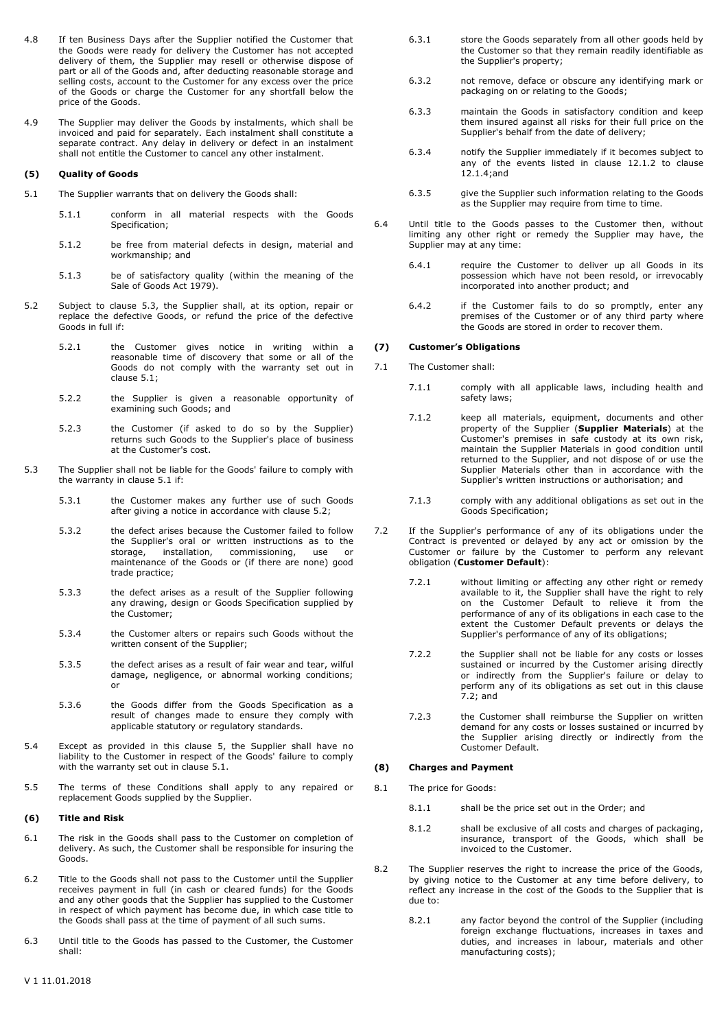- 4.8 If ten Business Days after the Supplier notified the Customer that the Goods were ready for delivery the Customer has not accepted delivery of them, the Supplier may resell or otherwise dispose of part or all of the Goods and, after deducting reasonable storage and selling costs, account to the Customer for any excess over the price of the Goods or charge the Customer for any shortfall below the price of the Goods.
- 4.9 The Supplier may deliver the Goods by instalments, which shall be invoiced and paid for separately. Each instalment shall constitute a separate contract. Any delay in delivery or defect in an instalment shall not entitle the Customer to cancel any other instalment.

#### **(5) Quality of Goods**

- <span id="page-1-2"></span>5.1 The Supplier warrants that on delivery the Goods shall:
	- 5.1.1 conform in all material respects with the Goods Specification;
	- 5.1.2 be free from material defects in design, material and workmanship; and
	- 5.1.3 be of satisfactory quality (within the meaning of the Sale of Goods Act 1979).
- <span id="page-1-3"></span>5.2 Subject to clause [5.3,](#page-1-1) the Supplier shall, at its option, repair or replace the defective Goods, or refund the price of the defective Goods in full if:
	- 5.2.1 the Customer gives notice in writing within a reasonable time of discovery that some or all of the Goods do not comply with the warranty set out in clause [5.1;](#page-1-2)
	- 5.2.2 the Supplier is given a reasonable opportunity of examining such Goods; and
	- 5.2.3 the Customer (if asked to do so by the Supplier) returns such Goods to the Supplier's place of business at the Customer's cost.
- <span id="page-1-1"></span>5.3 The Supplier shall not be liable for the Goods' failure to comply with the warranty in clause [5.1](#page-1-2) if:
	- 5.3.1 the Customer makes any further use of such Goods after giving a notice in accordance with clause [5.2;](#page-1-3)
	- 5.3.2 the defect arises because the Customer failed to follow the Supplier's oral or written instructions as to the storage, installation, commissioning, use or installation, commissioning, use or maintenance of the Goods or (if there are none) good trade practice;
	- 5.3.3 the defect arises as a result of the Supplier following any drawing, design or Goods Specification supplied by the Customer;
	- 5.3.4 the Customer alters or repairs such Goods without the written consent of the Supplier;
	- 5.3.5 the defect arises as a result of fair wear and tear, wilful damage, negligence, or abnormal working conditions; or
	- 5.3.6 the Goods differ from the Goods Specification as a result of changes made to ensure they comply with applicable statutory or regulatory standards.
- 5.4 Except as provided in this clause 5, the Supplier shall have no liability to the Customer in respect of the Goods' failure to comply with the warranty set out in clause [5.1.](#page-1-2)
- 5.5 The terms of these Conditions shall apply to any repaired or replacement Goods supplied by the Supplier.

#### **(6) Title and Risk**

- 6.1 The risk in the Goods shall pass to the Customer on completion of delivery. As such, the Customer shall be responsible for insuring the Goods.
- 6.2 Title to the Goods shall not pass to the Customer until the Supplier receives payment in full (in cash or cleared funds) for the Goods and any other goods that the Supplier has supplied to the Customer in respect of which payment has become due, in which case title to the Goods shall pass at the time of payment of all such sums.
- 6.3 Until title to the Goods has passed to the Customer, the Customer shall:
- 6.3.1 store the Goods separately from all other goods held by the Customer so that they remain readily identifiable as the Supplier's property;
- 6.3.2 not remove, deface or obscure any identifying mark or packaging on or relating to the Goods;
- 6.3.3 maintain the Goods in satisfactory condition and keep them insured against all risks for their full price on the Supplier's behalf from the date of delivery;
- 6.3.4 notify the Supplier immediately if it becomes subject to any of the events listed in clause [12.1.2](#page-2-0) to clause [12.1.4;](#page-2-1)and
- 6.3.5 give the Supplier such information relating to the Goods as the Supplier may require from time to time.
- 6.4 Until title to the Goods passes to the Customer then, without limiting any other right or remedy the Supplier may have, the Supplier may at any time:
	- 6.4.1 require the Customer to deliver up all Goods in its possession which have not been resold, or irrevocably incorporated into another product; and
	- 6.4.2 if the Customer fails to do so promptly, enter any premises of the Customer or of any third party where the Goods are stored in order to recover them.

#### **(7) Customer's Obligations**

- <span id="page-1-0"></span>7.1 The Customer shall:
	- 7.1.1 comply with all applicable laws, including health and safety laws;
	- 7.1.2 keep all materials, equipment, documents and other property of the Supplier (**Supplier Materials**) at the Customer's premises in safe custody at its own risk, maintain the Supplier Materials in good condition until returned to the Supplier, and not dispose of or use the Supplier Materials other than in accordance with the Supplier's written instructions or authorisation; and
	- 7.1.3 comply with any additional obligations as set out in the Goods Specification;
- <span id="page-1-4"></span>7.2 If the Supplier's performance of any of its obligations under the Contract is prevented or delayed by any act or omission by the Customer or failure by the Customer to perform any relevant obligation (**Customer Default**):
	- 7.2.1 without limiting or affecting any other right or remedy available to it, the Supplier shall have the right to rely on the Customer Default to relieve it from the performance of any of its obligations in each case to the extent the Customer Default prevents or delays the Supplier's performance of any of its obligations;
	- 7.2.2 the Supplier shall not be liable for any costs or losses sustained or incurred by the Customer arising directly or indirectly from the Supplier's failure or delay to perform any of its obligations as set out in this clause [7.2;](#page-1-4) and
	- 7.2.3 the Customer shall reimburse the Supplier on written demand for any costs or losses sustained or incurred by the Supplier arising directly or indirectly from the Customer Default.

# **(8) Charges and Payment**

- 8.1 The price for Goods:
	- 8.1.1 shall be the price set out in the Order; and
	- 8.1.2 shall be exclusive of all costs and charges of packaging, insurance, transport of the Goods, which shall be invoiced to the Customer.
- 8.2 The Supplier reserves the right to increase the price of the Goods, by giving notice to the Customer at any time before delivery, to reflect any increase in the cost of the Goods to the Supplier that is due to:
	- 8.2.1 any factor beyond the control of the Supplier (including foreign exchange fluctuations, increases in taxes and duties, and increases in labour, materials and other manufacturing costs);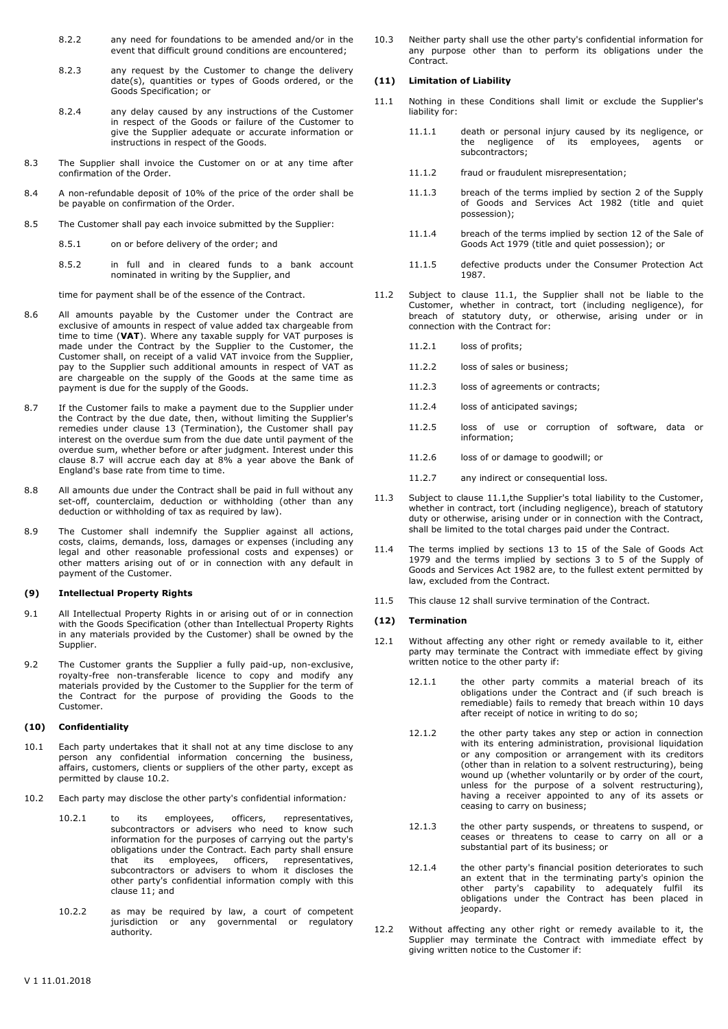- 8.2.2 any need for foundations to be amended and/or in the event that difficult ground conditions are encountered;
- 8.2.3 any request by the Customer to change the delivery date(s), quantities or types of Goods ordered, or the Goods Specification; or
- 8.2.4 any delay caused by any instructions of the Customer in respect of the Goods or failure of the Customer to give the Supplier adequate or accurate information or instructions in respect of the Goods.
- 8.3 The Supplier shall invoice the Customer on or at any time after confirmation of the Order.
- 8.4 A non-refundable deposit of 10% of the price of the order shall be be payable on confirmation of the Order.
- 8.5 The Customer shall pay each invoice submitted by the Supplier:
	- 8.5.1 on or before delivery of the order; and
	- 8.5.2 in full and in cleared funds to a bank account nominated in writing by the Supplier, and

time for payment shall be of the essence of the Contract.

- 8.6 All amounts payable by the Customer under the Contract are exclusive of amounts in respect of value added tax chargeable from time to time (**VAT**). Where any taxable supply for VAT purposes is made under the Contract by the Supplier to the Customer, the Customer shall, on receipt of a valid VAT invoice from the Supplier, pay to the Supplier such additional amounts in respect of VAT as are chargeable on the supply of the Goods at the same time as payment is due for the supply of the Goods.
- <span id="page-2-2"></span>8.7 If the Customer fails to make a payment due to the Supplier under the Contract by the due date, then, without limiting the Supplier's remedies under clause 13 (Termination), the Customer shall pay interest on the overdue sum from the due date until payment of the overdue sum, whether before or after judgment. Interest under this clause [8.7](#page-2-2) will accrue each day at 8% a year above the Bank of England's base rate from time to time.
- 8.8 All amounts due under the Contract shall be paid in full without any set-off, counterclaim, deduction or withholding (other than any deduction or withholding of tax as required by law).
- 8.9 The Customer shall indemnify the Supplier against all actions, costs, claims, demands, loss, damages or expenses (including any legal and other reasonable professional costs and expenses) or other matters arising out of or in connection with any default in payment of the Customer.

#### **(9) Intellectual Property Rights**

- 9.1 All Intellectual Property Rights in or arising out of or in connection with the Goods Specification (other than Intellectual Property Rights in any materials provided by the Customer) shall be owned by the Supplier.
- 9.2 The Customer grants the Supplier a fully paid-up, non-exclusive, royalty-free non-transferable licence to copy and modify any materials provided by the Customer to the Supplier for the term of the Contract for the purpose of providing the Goods to the Customer.

# **(10) Confidentiality**

- 10.1 Each party undertakes that it shall not at any time disclose to any person any confidential information concerning the business, affairs, customers, clients or suppliers of the other party, except as permitted by clause [10.2.](#page-2-3)
- <span id="page-2-3"></span>10.2 Each party may disclose the other party's confidential information*:*
	- 10.2.1 to its employees, officers, representatives, subcontractors or advisers who need to know such information for the purposes of carrying out the party's obligations under the Contract. Each party shall ensure that its employees, officers, representatives, subcontractors or advisers to whom it discloses the other party's confidential information comply with this clause 11; and
	- 10.2.2 as may be required by law, a court of competent jurisdiction or any governmental or regulatory authority*.*

10.3 Neither party shall use the other party's confidential information for any purpose other than to perform its obligations under the Contract.

#### **(11) Limitation of Liability**

- <span id="page-2-4"></span>11.1 Nothing in these Conditions shall limit or exclude the Supplier's liability for:
	- 11.1.1 death or personal injury caused by its negligence, or the negligence of its employees, agents or subcontractors;
	- 11.1.2 fraud or fraudulent misrepresentation;
	- 11.1.3 breach of the terms implied by section 2 of the Supply of Goods and Services Act 1982 (title and quiet possession);
	- 11.1.4 breach of the terms implied by section 12 of the Sale of Goods Act 1979 (title and quiet possession); or
	- 11.1.5 defective products under the Consumer Protection Act 1987.
- 11.2 Subject to clause [11.1,](#page-2-4) the Supplier shall not be liable to the Customer, whether in contract, tort (including negligence), for breach of statutory duty, or otherwise, arising under or in connection with the Contract for:
	- 11.2.1 loss of profits;
	- 11.2.2 loss of sales or business;
	- 11.2.3 loss of agreements or contracts;
	- 11.2.4 loss of anticipated savings;
	- 11.2.5 loss of use or corruption of software, data or information;
	- 11.2.6 loss of or damage to goodwill; or
	- 11.2.7 any indirect or consequential loss.
- 11.3 Subject to clause [11.1,t](#page-2-4)he Supplier's total liability to the Customer, whether in contract, tort (including negligence), breach of statutory duty or otherwise, arising under or in connection with the Contract, shall be limited to the total charges paid under the Contract.
- 11.4 The terms implied by sections 13 to 15 of the Sale of Goods Act 1979 and the terms implied by sections 3 to 5 of the Supply of Goods and Services Act 1982 are, to the fullest extent permitted by law, excluded from the Contract.
- 11.5 This clause 12 shall survive termination of the Contract.

#### **(12) Termination**

- <span id="page-2-0"></span>12.1 Without affecting any other right or remedy available to it, either party may terminate the Contract with immediate effect by giving written notice to the other party if:
	- 12.1.1 the other party commits a material breach of its obligations under the Contract and (if such breach is remediable) fails to remedy that breach within 10 days after receipt of notice in writing to do so;
	- 12.1.2 the other party takes any step or action in connection with its entering administration, provisional liquidation or any composition or arrangement with its creditors (other than in relation to a solvent restructuring), being wound up (whether voluntarily or by order of the court, unless for the purpose of a solvent restructuring), having a receiver appointed to any of its assets or ceasing to carry on business;
	- 12.1.3 the other party suspends, or threatens to suspend, or ceases or threatens to cease to carry on all or a substantial part of its business; or
	- 12.1.4 the other party's financial position deteriorates to such an extent that in the terminating party's opinion the other party's capability to adequately fulfil its obligations under the Contract has been placed in jeopardy.
- <span id="page-2-1"></span>12.2 Without affecting any other right or remedy available to it, the Supplier may terminate the Contract with immediate effect by giving written notice to the Customer if: